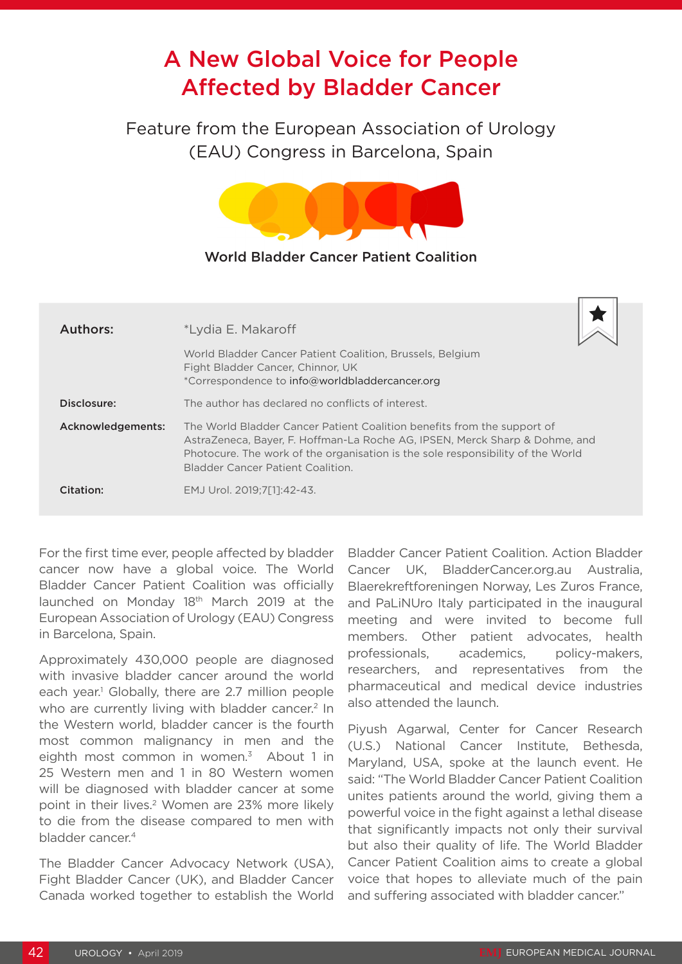## A New Global Voice for People Affected by Bladder Cancer

Feature from the European Association of Urology (EAU) Congress in Barcelona, Spain



## World Bladder Cancer Patient Coalition

| Authors:          | *Lydia E. Makaroff                                                                                                                                                                                                                                                                    |
|-------------------|---------------------------------------------------------------------------------------------------------------------------------------------------------------------------------------------------------------------------------------------------------------------------------------|
|                   | World Bladder Cancer Patient Coalition, Brussels, Belgium<br>Fight Bladder Cancer, Chinnor, UK<br>*Correspondence to info@worldbladdercancer.org                                                                                                                                      |
| Disclosure:       | The author has declared no conflicts of interest.                                                                                                                                                                                                                                     |
| Acknowledgements: | The World Bladder Cancer Patient Coalition benefits from the support of<br>AstraZeneca, Bayer, F. Hoffman-La Roche AG, IPSEN, Merck Sharp & Dohme, and<br>Photocure. The work of the organisation is the sole responsibility of the World<br><b>Bladder Cancer Patient Coalition.</b> |
| Citation:         | EMJ Urol. 2019;7[1]:42-43.                                                                                                                                                                                                                                                            |

For the first time ever, people affected by bladder cancer now have a global voice. The World Bladder Cancer Patient Coalition was officially launched on Monday 18th March 2019 at the European Association of Urology (EAU) Congress in Barcelona, Spain.

Approximately 430,000 people are diagnosed with invasive bladder cancer around the world each year.<sup>1</sup> Globally, there are 2.7 million people who are currently living with bladder cancer.<sup>2</sup> In the Western world, bladder cancer is the fourth most common malignancy in men and the eighth most common in women. $3$  About 1 in 25 Western men and 1 in 80 Western women will be diagnosed with bladder cancer at some point in their lives.2 Women are 23% more likely to die from the disease compared to men with bladder cancer.4

The Bladder Cancer Advocacy Network (USA), Fight Bladder Cancer (UK), and Bladder Cancer Canada worked together to establish the World Bladder Cancer Patient Coalition. Action Bladder Cancer UK, BladderCancer.org.au Australia, Blaerekreftforeningen Norway, Les Zuros France, and PaLiNUro Italy participated in the inaugural meeting and were invited to become full members. Other patient advocates, health professionals, academics, policy-makers, researchers, and representatives from the pharmaceutical and medical device industries also attended the launch.

Piyush Agarwal, Center for Cancer Research (U.S.) National Cancer Institute, Bethesda, Maryland, USA, spoke at the launch event. He said: "The World Bladder Cancer Patient Coalition unites patients around the world, giving them a powerful voice in the fight against a lethal disease that significantly impacts not only their survival but also their quality of life. The World Bladder Cancer Patient Coalition aims to create a global voice that hopes to alleviate much of the pain and suffering associated with bladder cancer."